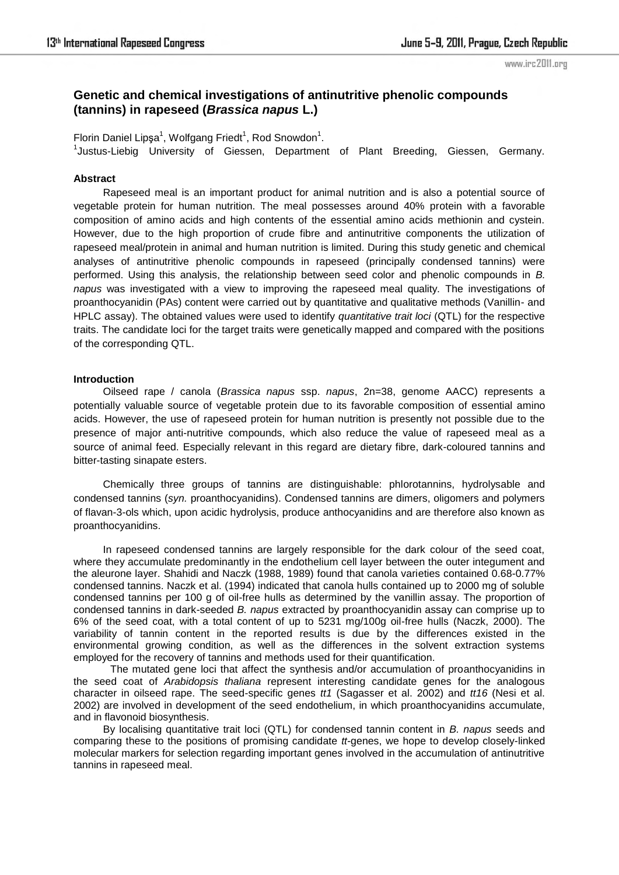# **Genetic and chemical investigations of antinutritive phenolic compounds (tannins) in rapeseed (***Brassica napus* **L.)**

Florin Daniel Lipşa<sup>1</sup>, Wolfgang Friedt<sup>1</sup>, Rod Snowdon<sup>1</sup>. <sup>1</sup>Justus-Liebig University of Giessen, Department of Plant Breeding, Giessen, Germany.

## **Abstract**

Rapeseed meal is an important product for animal nutrition and is also a potential source of vegetable protein for human nutrition. The meal possesses around 40% protein with a favorable composition of amino acids and high contents of the essential amino acids methionin and cystein. However, due to the high proportion of crude fibre and antinutritive components the utilization of rapeseed meal/protein in animal and human nutrition is limited. During this study genetic and chemical analyses of antinutritive phenolic compounds in rapeseed (principally condensed tannins) were performed. Using this analysis, the relationship between seed color and phenolic compounds in *B. napus* was investigated with a view to improving the rapeseed meal quality. The investigations of proanthocyanidin (PAs) content were carried out by quantitative and qualitative methods (Vanillin- and HPLC assay). The obtained values were used to identify *quantitative trait loci* (QTL) for the respective traits. The candidate loci for the target traits were genetically mapped and compared with the positions of the corresponding QTL.

### **Introduction**

Oilseed rape / canola (*Brassica napus* ssp. *napus*, 2n=38, genome AACC) represents a potentially valuable source of vegetable protein due to its favorable composition of essential amino acids. However, the use of rapeseed protein for human nutrition is presently not possible due to the presence of major anti-nutritive compounds, which also reduce the value of rapeseed meal as a source of animal feed. Especially relevant in this regard are dietary fibre, dark-coloured tannins and bitter-tasting sinapate esters.

Chemically three groups of tannins are distinguishable: phlorotannins, hydrolysable and condensed tannins (*syn.* proanthocyanidins). Condensed tannins are dimers, oligomers and polymers of flavan-3-ols which, upon acidic hydrolysis, produce anthocyanidins and are therefore also known as proanthocyanidins.

In rapeseed condensed tannins are largely responsible for the dark colour of the seed coat, where they accumulate predominantly in the endothelium cell layer between the outer integument and the aleurone layer. Shahidi and Naczk (1988, 1989) found that canola varieties contained 0.68-0.77% condensed tannins. Naczk et al. (1994) indicated that canola hulls contained up to 2000 mg of soluble condensed tannins per 100 g of oil-free hulls as determined by the vanillin assay. The proportion of condensed tannins in dark-seeded *B. napus* extracted by proanthocyanidin assay can comprise up to 6% of the seed coat, with a total content of up to 5231 mg/100g oil-free hulls (Naczk, 2000). The variability of tannin content in the reported results is due by the differences existed in the environmental growing condition, as well as the differences in the solvent extraction systems employed for the recovery of tannins and methods used for their quantification.

The mutated gene loci that affect the synthesis and/or accumulation of proanthocyanidins in the seed coat of *Arabidopsis thaliana* represent interesting candidate genes for the analogous character in oilseed rape. The seed-specific genes *tt1* (Sagasser et al. 2002) and *tt16* (Nesi et al. 2002) are involved in development of the seed endothelium, in which proanthocyanidins accumulate, and in flavonoid biosynthesis.

By localising quantitative trait loci (QTL) for condensed tannin content in *B. napus* seeds and comparing these to the positions of promising candidate *tt-*genes, we hope to develop closely-linked molecular markers for selection regarding important genes involved in the accumulation of antinutritive tannins in rapeseed meal.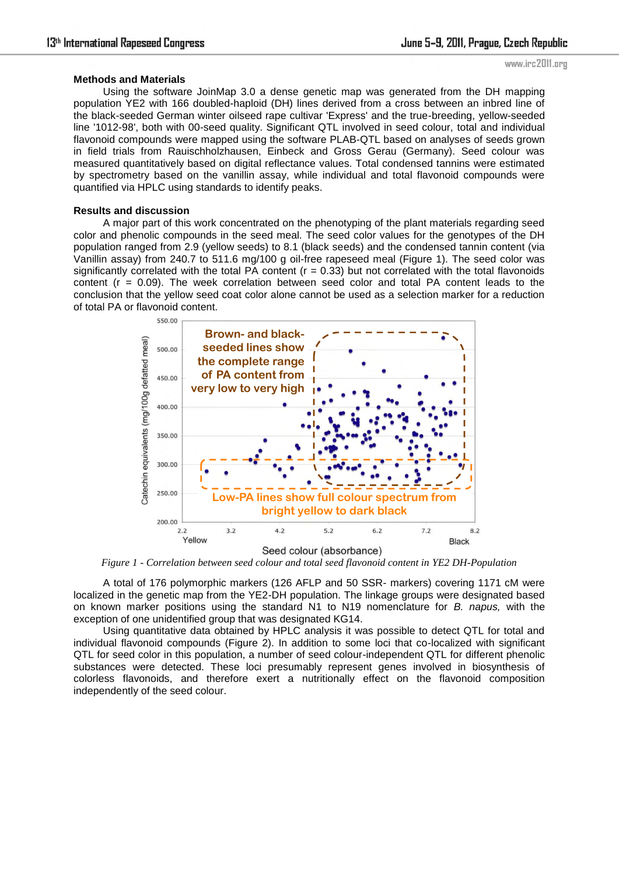### **Methods and Materials**

Using the software JoinMap 3.0 a dense genetic map was generated from the DH mapping population YE2 with 166 doubled-haploid (DH) lines derived from a cross between an inbred line of the black-seeded German winter oilseed rape cultivar 'Express' and the true-breeding, yellow-seeded line '1012-98', both with 00-seed quality. Significant QTL involved in seed colour, total and individual flavonoid compounds were mapped using the software PLAB-QTL based on analyses of seeds grown in field trials from Rauischholzhausen, Einbeck and Gross Gerau (Germany). Seed colour was measured quantitatively based on digital reflectance values. Total condensed tannins were estimated by spectrometry based on the vanillin assay, while individual and total flavonoid compounds were quantified via HPLC using standards to identify peaks.

#### **Results and discussion**

A major part of this work concentrated on the phenotyping of the plant materials regarding seed color and phenolic compounds in the seed meal. The seed color values for the genotypes of the DH population ranged from 2.9 (yellow seeds) to 8.1 (black seeds) and the condensed tannin content (via Vanillin assay) from 240.7 to 511.6 mg/100 g oil-free rapeseed meal (Figure 1). The seed color was significantly correlated with the total PA content ( $r = 0.33$ ) but not correlated with the total flavonoids content  $(r = 0.09)$ . The week correlation between seed color and total PA content leads to the conclusion that the yellow seed coat color alone cannot be used as a selection marker for a reduction of total PA or flavonoid content.



*Figure 1 - Correlation between seed colour and total seed flavonoid content in YE2 DH-Population*

A total of 176 polymorphic markers (126 AFLP and 50 SSR- markers) covering 1171 cM were localized in the genetic map from the YE2-DH population. The linkage groups were designated based on known marker positions using the standard N1 to N19 nomenclature for *B. napus,* with the exception of one unidentified group that was designated KG14.

Using quantitative data obtained by HPLC analysis it was possible to detect QTL for total and individual flavonoid compounds (Figure 2). In addition to some loci that co-localized with significant QTL for seed color in this population, a number of seed colour-independent QTL for different phenolic substances were detected. These loci presumably represent genes involved in biosynthesis of colorless flavonoids, and therefore exert a nutritionally effect on the flavonoid composition independently of the seed colour.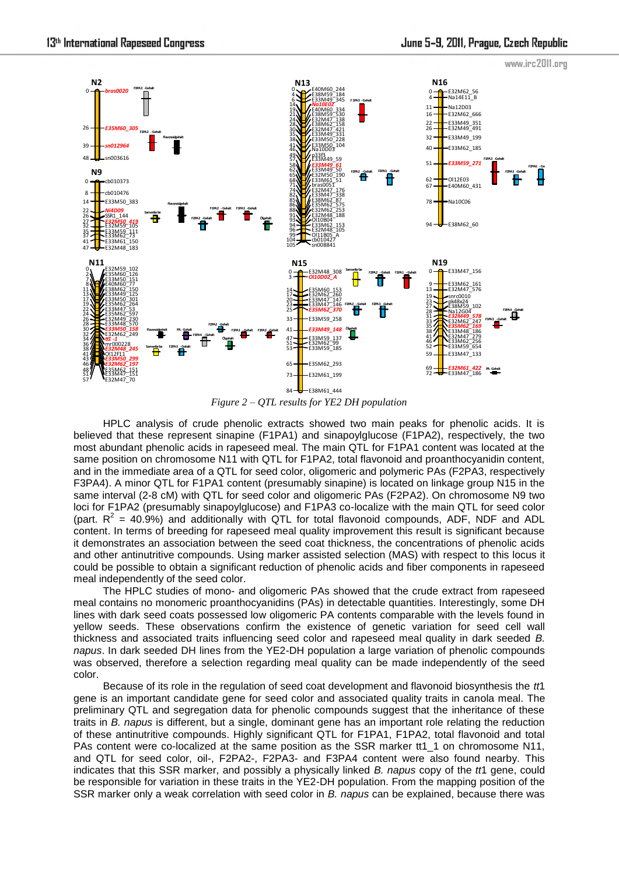

*Figure 2 – QTL results for YE2 DH population*

HPLC analysis of crude phenolic extracts showed two main peaks for phenolic acids. It is believed that these represent sinapine (F1PA1) and sinapoylglucose (F1PA2), respectively, the two most abundant phenolic acids in rapeseed meal. The main QTL for F1PA1 content was located at the same position on chromosome N11 with QTL for F1PA2, total flavonoid and proanthocyanidin content, and in the immediate area of a QTL for seed color, oligomeric and polymeric PAs (F2PA3, respectively F3PA4). A minor QTL for F1PA1 content (presumably sinapine) is located on linkage group N15 in the same interval (2-8 cM) with QTL for seed color and oligomeric PAs (F2PA2). On chromosome N9 two loci for F1PA2 (presumably sinapoylglucose) and F1PA3 co-localize with the main QTL for seed color (part.  $R^2 = 40.9\%$ ) and additionally with QTL for total flavonoid compounds, ADF, NDF and ADL content. In terms of breeding for rapeseed meal quality improvement this result is significant because it demonstrates an association between the seed coat thickness, the concentrations of phenolic acids and other antinutritive compounds. Using marker assisted selection (MAS) with respect to this locus it could be possible to obtain a significant reduction of phenolic acids and fiber components in rapeseed meal independently of the seed color.

The HPLC studies of mono- and oligomeric PAs showed that the crude extract from rapeseed meal contains no monomeric proanthocyanidins (PAs) in detectable quantities. Interestingly, some DH lines with dark seed coats possessed low oligomeric PA contents comparable with the levels found in yellow seeds. These observations confirm the existence of genetic variation for seed cell wall thickness and associated traits influencing seed color and rapeseed meal quality in dark seeded *B. napus*. In dark seeded DH lines from the YE2-DH population a large variation of phenolic compounds was observed, therefore a selection regarding meal quality can be made independently of the seed color.

Because of its role in the regulation of seed coat development and flavonoid biosynthesis the *tt*1 gene is an important candidate gene for seed color and associated quality traits in canola meal. The preliminary QTL and segregation data for phenolic compounds suggest that the inheritance of these traits in *B. napus* is different, but a single, dominant gene has an important role relating the reduction of these antinutritive compounds. Highly significant QTL for F1PA1, F1PA2, total flavonoid and total PAs content were co-localized at the same position as the SSR marker tt1\_1 on chromosome N11, and QTL for seed color, oil-, F2PA2-, F2PA3- and F3PA4 content were also found nearby. This indicates that this SSR marker, and possibly a physically linked *B. napus* copy of the *tt*1 gene, could be responsible for variation in these traits in the YE2-DH population. From the mapping position of the SSR marker only a weak correlation with seed color in *B. napus* can be explained, because there was